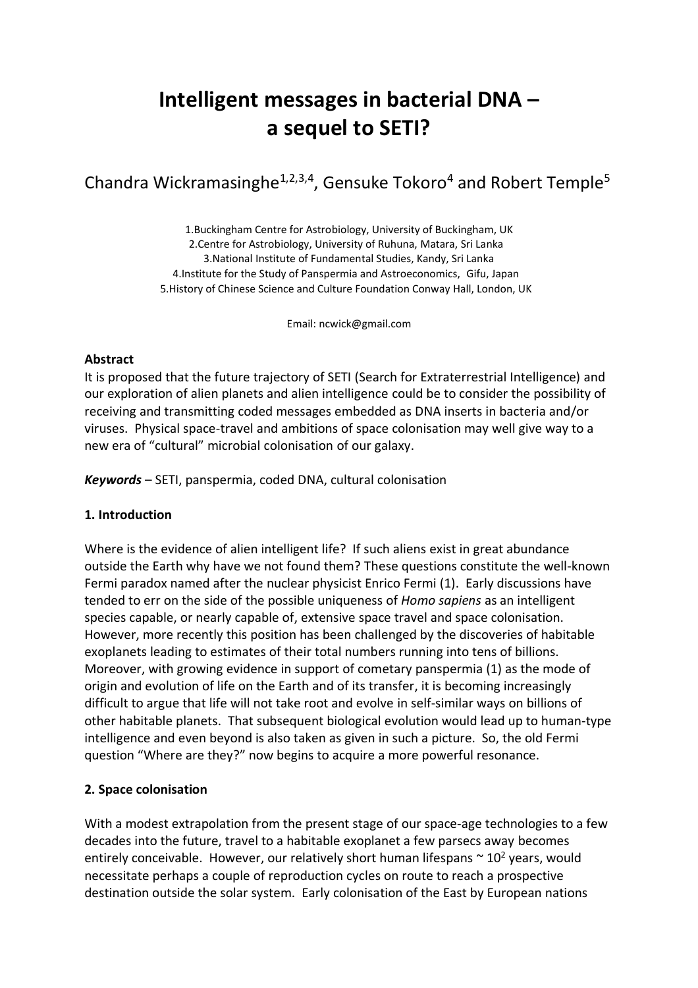# **Intelligent messages in bacterial DNA – a sequel to SETI?**

Chandra Wickramasinghe<sup>1,2,3,4</sup>, Gensuke Tokoro<sup>4</sup> and Robert Temple<sup>5</sup>

1.Buckingham Centre for Astrobiology, University of Buckingham, UK 2.Centre for Astrobiology, University of Ruhuna, Matara, Sri Lanka 3.National Institute of Fundamental Studies, Kandy, Sri Lanka 4.Institute for the Study of Panspermia and Astroeconomics, Gifu, Japan 5.History of Chinese Science and Culture Foundation Conway Hall, London, UK

Email: ncwick@gmail.com

#### **Abstract**

It is proposed that the future trajectory of SETI (Search for Extraterrestrial Intelligence) and our exploration of alien planets and alien intelligence could be to consider the possibility of receiving and transmitting coded messages embedded as DNA inserts in bacteria and/or viruses. Physical space-travel and ambitions of space colonisation may well give way to a new era of "cultural" microbial colonisation of our galaxy.

*Keywords* – SETI, panspermia, coded DNA, cultural colonisation

## **1. Introduction**

Where is the evidence of alien intelligent life? If such aliens exist in great abundance outside the Earth why have we not found them? These questions constitute the well-known Fermi paradox named after the nuclear physicist Enrico Fermi (1). Early discussions have tended to err on the side of the possible uniqueness of *Homo sapiens* as an intelligent species capable, or nearly capable of, extensive space travel and space colonisation. However, more recently this position has been challenged by the discoveries of habitable exoplanets leading to estimates of their total numbers running into tens of billions. Moreover, with growing evidence in support of cometary panspermia (1) as the mode of origin and evolution of life on the Earth and of its transfer, it is becoming increasingly difficult to argue that life will not take root and evolve in self-similar ways on billions of other habitable planets. That subsequent biological evolution would lead up to human-type intelligence and even beyond is also taken as given in such a picture. So, the old Fermi question "Where are they?" now begins to acquire a more powerful resonance.

## **2. Space colonisation**

With a modest extrapolation from the present stage of our space-age technologies to a few decades into the future, travel to a habitable exoplanet a few parsecs away becomes entirely conceivable. However, our relatively short human lifespans  $\sim 10^2$  years, would necessitate perhaps a couple of reproduction cycles on route to reach a prospective destination outside the solar system. Early colonisation of the East by European nations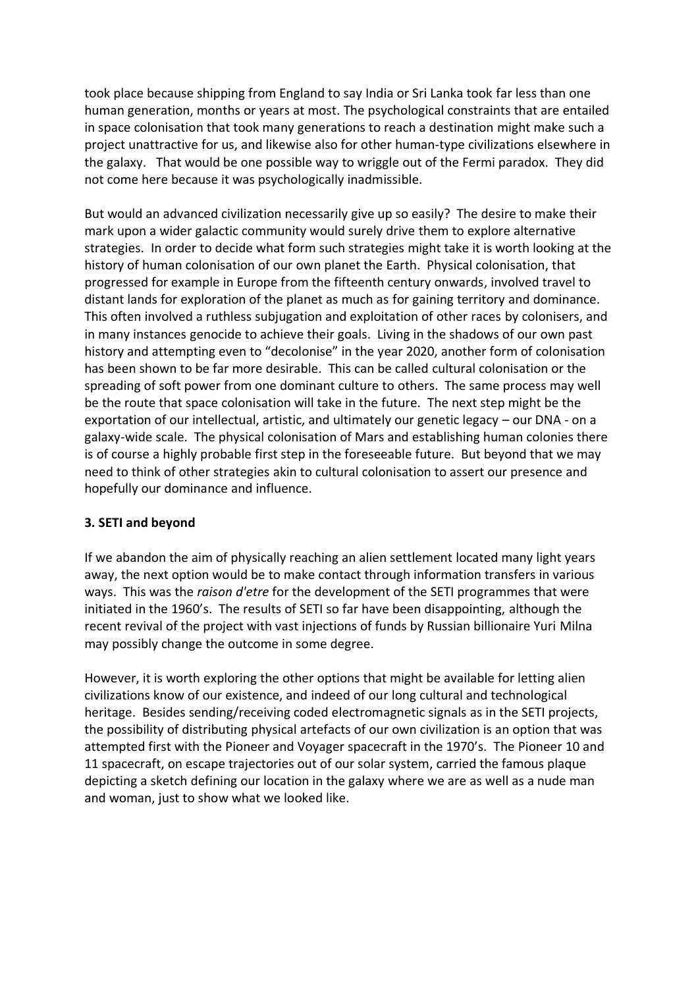took place because shipping from England to say India or Sri Lanka took far less than one human generation, months or years at most. The psychological constraints that are entailed in space colonisation that took many generations to reach a destination might make such a project unattractive for us, and likewise also for other human-type civilizations elsewhere in the galaxy. That would be one possible way to wriggle out of the Fermi paradox. They did not come here because it was psychologically inadmissible.

But would an advanced civilization necessarily give up so easily? The desire to make their mark upon a wider galactic community would surely drive them to explore alternative strategies. In order to decide what form such strategies might take it is worth looking at the history of human colonisation of our own planet the Earth. Physical colonisation, that progressed for example in Europe from the fifteenth century onwards, involved travel to distant lands for exploration of the planet as much as for gaining territory and dominance. This often involved a ruthless subjugation and exploitation of other races by colonisers, and in many instances genocide to achieve their goals. Living in the shadows of our own past history and attempting even to "decolonise" in the year 2020, another form of colonisation has been shown to be far more desirable. This can be called cultural colonisation or the spreading of soft power from one dominant culture to others. The same process may well be the route that space colonisation will take in the future. The next step might be the exportation of our intellectual, artistic, and ultimately our genetic legacy – our DNA - on a galaxy-wide scale. The physical colonisation of Mars and establishing human colonies there is of course a highly probable first step in the foreseeable future. But beyond that we may need to think of other strategies akin to cultural colonisation to assert our presence and hopefully our dominance and influence.

## **3. SETI and beyond**

If we abandon the aim of physically reaching an alien settlement located many light years away, the next option would be to make contact through information transfers in various ways. This was the *raison d'etre* for the development of the SETI programmes that were initiated in the 1960's. The results of SETI so far have been disappointing, although the recent revival of the project with vast injections of funds by Russian billionaire Yuri Milna may possibly change the outcome in some degree.

However, it is worth exploring the other options that might be available for letting alien civilizations know of our existence, and indeed of our long cultural and technological heritage. Besides sending/receiving coded electromagnetic signals as in the SETI projects, the possibility of distributing physical artefacts of our own civilization is an option that was attempted first with the Pioneer and Voyager spacecraft in the 1970's. The Pioneer 10 and 11 spacecraft, on escape trajectories out of our solar system, carried the famous plaque depicting a sketch defining our location in the galaxy where we are as well as a nude man and woman, just to show what we looked like.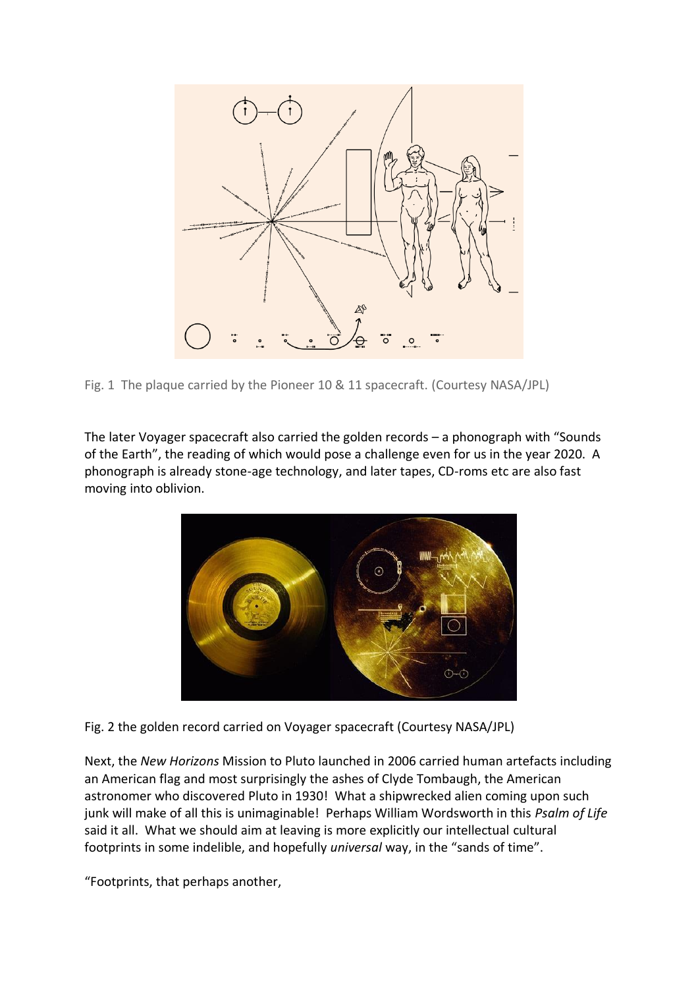

Fig. 1 The plaque carried by the Pioneer 10 & 11 spacecraft. (Courtesy NASA/JPL)

The later Voyager spacecraft also carried the golden records – a phonograph with "Sounds of the Earth", the reading of which would pose a challenge even for us in the year 2020. A phonograph is already stone-age technology, and later tapes, CD-roms etc are also fast moving into oblivion.



Fig. 2 the golden record carried on Voyager spacecraft (Courtesy NASA/JPL)

Next, the *New Horizons* Mission to Pluto launched in 2006 carried human artefacts including an American flag and most surprisingly the ashes of Clyde Tombaugh, the American astronomer who discovered Pluto in 1930! What a shipwrecked alien coming upon such junk will make of all this is unimaginable! Perhaps William Wordsworth in this *Psalm of Life* said it all. What we should aim at leaving is more explicitly our intellectual cultural footprints in some indelible, and hopefully *universal* way, in the "sands of time".

"Footprints, that perhaps another,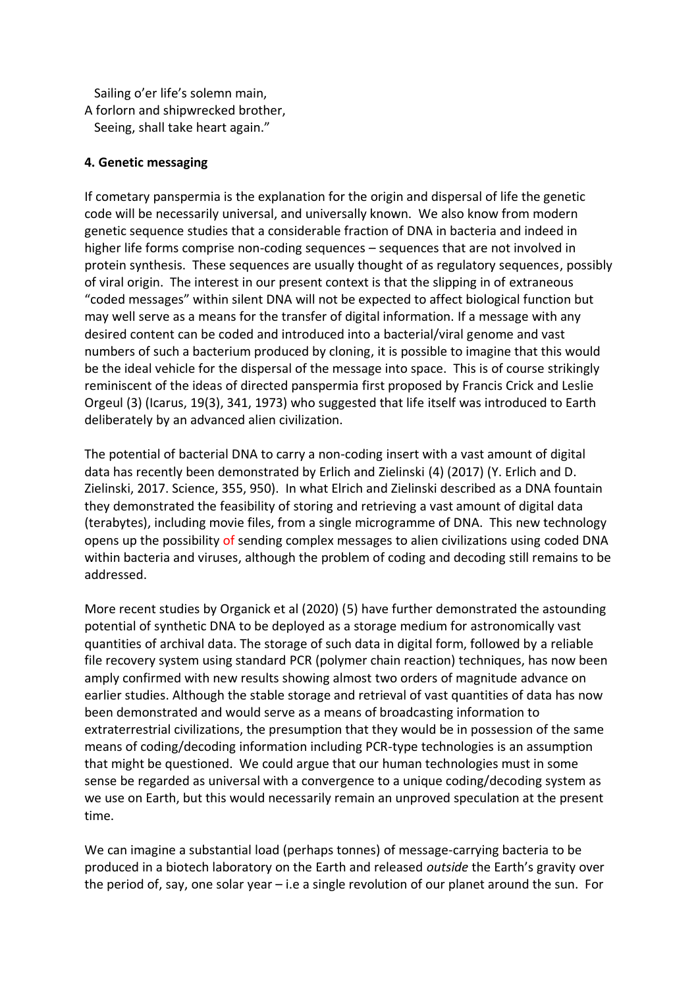Sailing o'er life's solemn main,

A forlorn and shipwrecked brother, Seeing, shall take heart again."

## **4. Genetic messaging**

If cometary panspermia is the explanation for the origin and dispersal of life the genetic code will be necessarily universal, and universally known. We also know from modern genetic sequence studies that a considerable fraction of DNA in bacteria and indeed in higher life forms comprise non-coding sequences – sequences that are not involved in protein synthesis. These sequences are usually thought of as regulatory sequences, possibly of viral origin. The interest in our present context is that the slipping in of extraneous "coded messages" within silent DNA will not be expected to affect biological function but may well serve as a means for the transfer of digital information. If a message with any desired content can be coded and introduced into a bacterial/viral genome and vast numbers of such a bacterium produced by cloning, it is possible to imagine that this would be the ideal vehicle for the dispersal of the message into space. This is of course strikingly reminiscent of the ideas of directed panspermia first proposed by Francis Crick and Leslie Orgeul (3) (Icarus, 19(3), 341, 1973) who suggested that life itself was introduced to Earth deliberately by an advanced alien civilization.

The potential of bacterial DNA to carry a non-coding insert with a vast amount of digital data has recently been demonstrated by Erlich and Zielinski (4) (2017) (Y. Erlich and D. Zielinski, 2017. Science, 355, 950). In what Elrich and Zielinski described as a DNA fountain they demonstrated the feasibility of storing and retrieving a vast amount of digital data (terabytes), including movie files, from a single microgramme of DNA. This new technology opens up the possibility of sending complex messages to alien civilizations using coded DNA within bacteria and viruses, although the problem of coding and decoding still remains to be addressed.

More recent studies by Organick et al (2020) (5) have further demonstrated the astounding potential of synthetic DNA to be deployed as a storage medium for astronomically vast quantities of archival data. The storage of such data in digital form, followed by a reliable file recovery system using standard PCR (polymer chain reaction) techniques, has now been amply confirmed with new results showing almost two orders of magnitude advance on earlier studies. Although the stable storage and retrieval of vast quantities of data has now been demonstrated and would serve as a means of broadcasting information to extraterrestrial civilizations, the presumption that they would be in possession of the same means of coding/decoding information including PCR-type technologies is an assumption that might be questioned. We could argue that our human technologies must in some sense be regarded as universal with a convergence to a unique coding/decoding system as we use on Earth, but this would necessarily remain an unproved speculation at the present time.

We can imagine a substantial load (perhaps tonnes) of message-carrying bacteria to be produced in a biotech laboratory on the Earth and released *outside* the Earth's gravity over the period of, say, one solar year – i.e a single revolution of our planet around the sun. For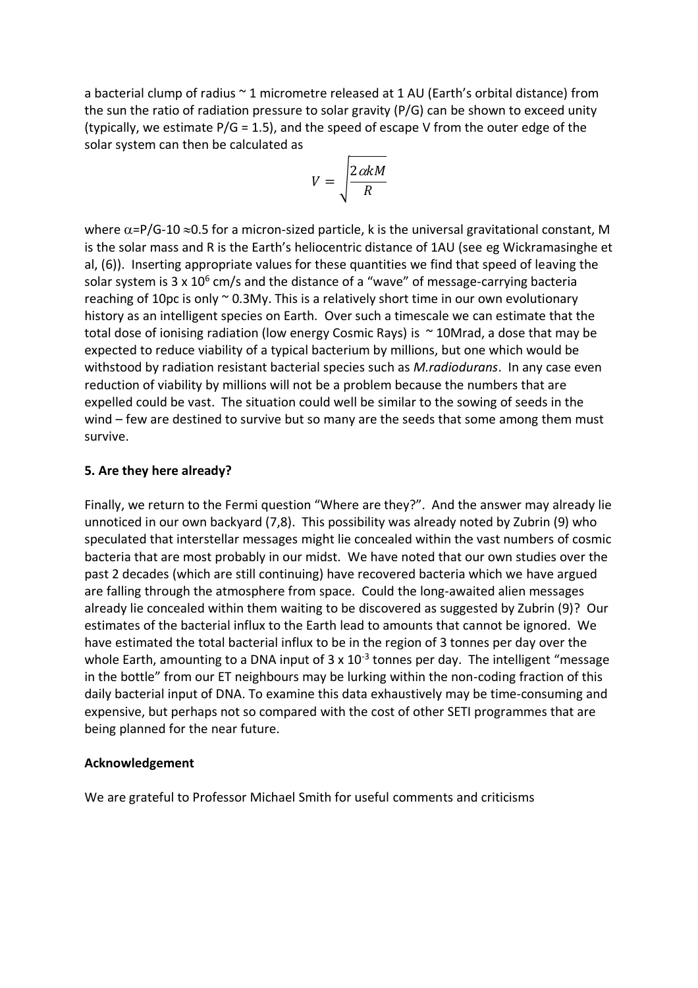a bacterial clump of radius ~ 1 micrometre released at 1 AU (Earth's orbital distance) from the sun the ratio of radiation pressure to solar gravity (P/G) can be shown to exceed unity (typically, we estimate  $P/G = 1.5$ ), and the speed of escape V from the outer edge of the solar system can then be calculated as

$$
V = \sqrt{\frac{2\alpha kM}{R}}
$$

where  $\alpha$ =P/G-10  $\approx$ 0.5 for a micron-sized particle, k is the universal gravitational constant, M is the solar mass and R is the Earth's heliocentric distance of 1AU (see eg Wickramasinghe et al, (6)). Inserting appropriate values for these quantities we find that speed of leaving the solar system is 3 x 10<sup>6</sup> cm/s and the distance of a "wave" of message-carrying bacteria reaching of 10pc is only  $\sim$  0.3My. This is a relatively short time in our own evolutionary history as an intelligent species on Earth. Over such a timescale we can estimate that the total dose of ionising radiation (low energy Cosmic Rays) is  $\sim$  10Mrad, a dose that may be expected to reduce viability of a typical bacterium by millions, but one which would be withstood by radiation resistant bacterial species such as *M.radiodurans*. In any case even reduction of viability by millions will not be a problem because the numbers that are expelled could be vast. The situation could well be similar to the sowing of seeds in the wind – few are destined to survive but so many are the seeds that some among them must survive.

#### **5. Are they here already?**

Finally, we return to the Fermi question "Where are they?". And the answer may already lie unnoticed in our own backyard (7,8). This possibility was already noted by Zubrin (9) who speculated that interstellar messages might lie concealed within the vast numbers of cosmic bacteria that are most probably in our midst. We have noted that our own studies over the past 2 decades (which are still continuing) have recovered bacteria which we have argued are falling through the atmosphere from space. Could the long-awaited alien messages already lie concealed within them waiting to be discovered as suggested by Zubrin (9)? Our estimates of the bacterial influx to the Earth lead to amounts that cannot be ignored. We have estimated the total bacterial influx to be in the region of 3 tonnes per day over the whole Earth, amounting to a DNA input of 3 x 10<sup>-3</sup> tonnes per day. The intelligent "message in the bottle" from our ET neighbours may be lurking within the non-coding fraction of this daily bacterial input of DNA. To examine this data exhaustively may be time-consuming and expensive, but perhaps not so compared with the cost of other SETI programmes that are being planned for the near future.

#### **Acknowledgement**

We are grateful to Professor Michael Smith for useful comments and criticisms